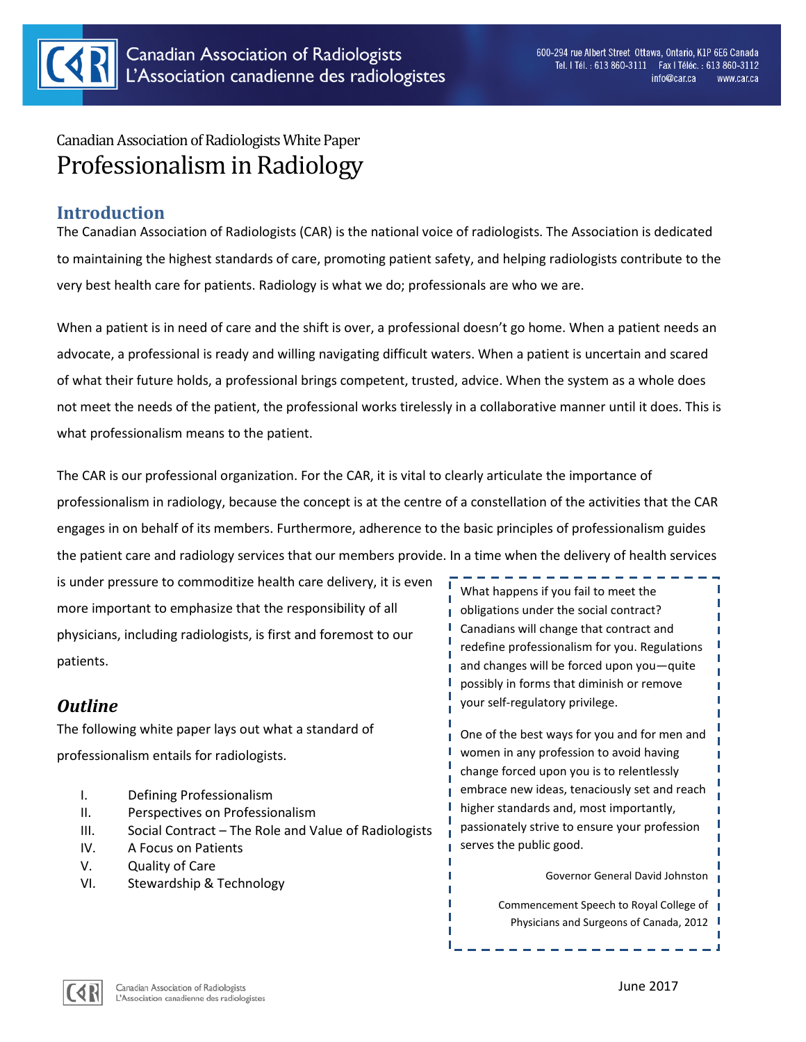

# Canadian Association of Radiologists White Paper Professionalism in Radiology

### **Introduction**

The Canadian Association of Radiologists (CAR) is the national voice of radiologists. The Association is dedicated to maintaining the highest standards of care, promoting patient safety, and helping radiologists contribute to the very best health care for patients. Radiology is what we do; professionals are who we are.

When a patient is in need of care and the shift is over, a professional doesn't go home. When a patient needs an advocate, a professional is ready and willing navigating difficult waters. When a patient is uncertain and scared of what their future holds, a professional brings competent, trusted, advice. When the system as a whole does not meet the needs of the patient, the professional works tirelessly in a collaborative manner until it does. This is what professionalism means to the patient.

The CAR is our professional organization. For the CAR, it is vital to clearly articulate the importance of professionalism in radiology, because the concept is at the centre of a constellation of the activities that the CAR engages in on behalf of its members. Furthermore, adherence to the basic principles of professionalism guides the patient care and radiology services that our members provide. In a time when the delivery of health services

is under pressure to commoditize health care delivery, it is even more important to emphasize that the responsibility of all physicians, including radiologists, is first and foremost to our patients.

## *Outline*

The following white paper lays out what a standard of professionalism entails for radiologists.

- I. Defining Professionalism
- II. Perspectives on Professionalism
- III. Social Contract The Role and Value of Radiologists
- IV. A Focus on Patients
- V. Quality of Care
- VI. Stewardship & Technology

What happens if you fail to meet the obligations under the social contract? Canadians will change that contract and redefine professionalism for you. Regulations and changes will be forced upon you—quite possibly in forms that diminish or remove your self-regulatory privilege.

One of the best ways for you and for men and women in any profession to avoid having change forced upon you is to relentlessly embrace new ideas, tenaciously set and reach higher standards and, most importantly, passionately strive to ensure your profession serves the public good.

Governor General David Johnston

Commencement Speech to Royal College of Physicians and Surgeons of Canada, 2012

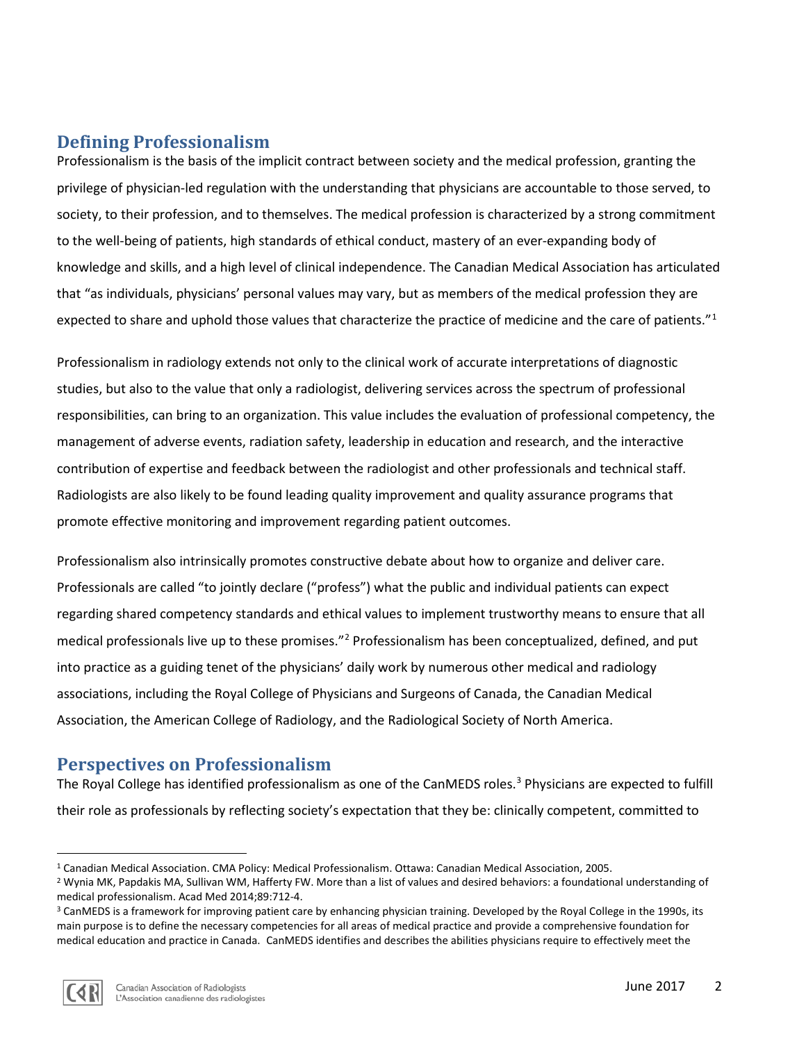## **Defining Professionalism**

Professionalism is the basis of the implicit contract between society and the medical profession, granting the privilege of physician-led regulation with the understanding that physicians are accountable to those served, to society, to their profession, and to themselves. The medical profession is characterized by a strong commitment to the well-being of patients, high standards of ethical conduct, mastery of an ever-expanding body of knowledge and skills, and a high level of clinical independence. The Canadian Medical Association has articulated that "as individuals, physicians' personal values may vary, but as members of the medical profession they are expected to share and uphold those values that characterize the practice of medicine and the care of patients."<sup>[1](#page-1-0)</sup>

Professionalism in radiology extends not only to the clinical work of accurate interpretations of diagnostic studies, but also to the value that only a radiologist, delivering services across the spectrum of professional responsibilities, can bring to an organization. This value includes the evaluation of professional competency, the management of adverse events, radiation safety, leadership in education and research, and the interactive contribution of expertise and feedback between the radiologist and other professionals and technical staff. Radiologists are also likely to be found leading quality improvement and quality assurance programs that promote effective monitoring and improvement regarding patient outcomes.

Professionalism also intrinsically promotes constructive debate about how to organize and deliver care. Professionals are called "to jointly declare ("profess") what the public and individual patients can expect regarding shared competency standards and ethical values to implement trustworthy means to ensure that all medical professionals live up to these promises."[2](#page-1-1) Professionalism has been conceptualized, defined, and put into practice as a guiding tenet of the physicians' daily work by numerous other medical and radiology associations, including the Royal College of Physicians and Surgeons of Canada, the Canadian Medical Association, the American College of Radiology, and the Radiological Society of North America.

#### **Perspectives on Professionalism**

The Royal College has identified professionalism as one of the CanMEDS roles.<sup>[3](#page-1-2)</sup> Physicians are expected to fulfill their role as professionals by reflecting society's expectation that they be: clinically competent, committed to

<span id="page-1-2"></span><sup>&</sup>lt;sup>3</sup> CanMEDS is a framework for improving patient care by enhancing physician training. Developed by the Royal College in the 1990s, its main purpose is to define the necessary competencies for all areas of medical practice and provide a comprehensive foundation for medical education and practice in Canada. CanMEDS identifies and describes the abilities physicians require to effectively meet the



<span id="page-1-0"></span> <sup>1</sup> Canadian Medical Association. CMA Policy: Medical Professionalism. Ottawa: Canadian Medical Association, 2005.

<span id="page-1-1"></span><sup>2</sup> Wynia MK, Papdakis MA, Sullivan WM, Hafferty FW. More than a list of values and desired behaviors: a foundational understanding of medical professionalism. Acad Med 2014;89:712-4.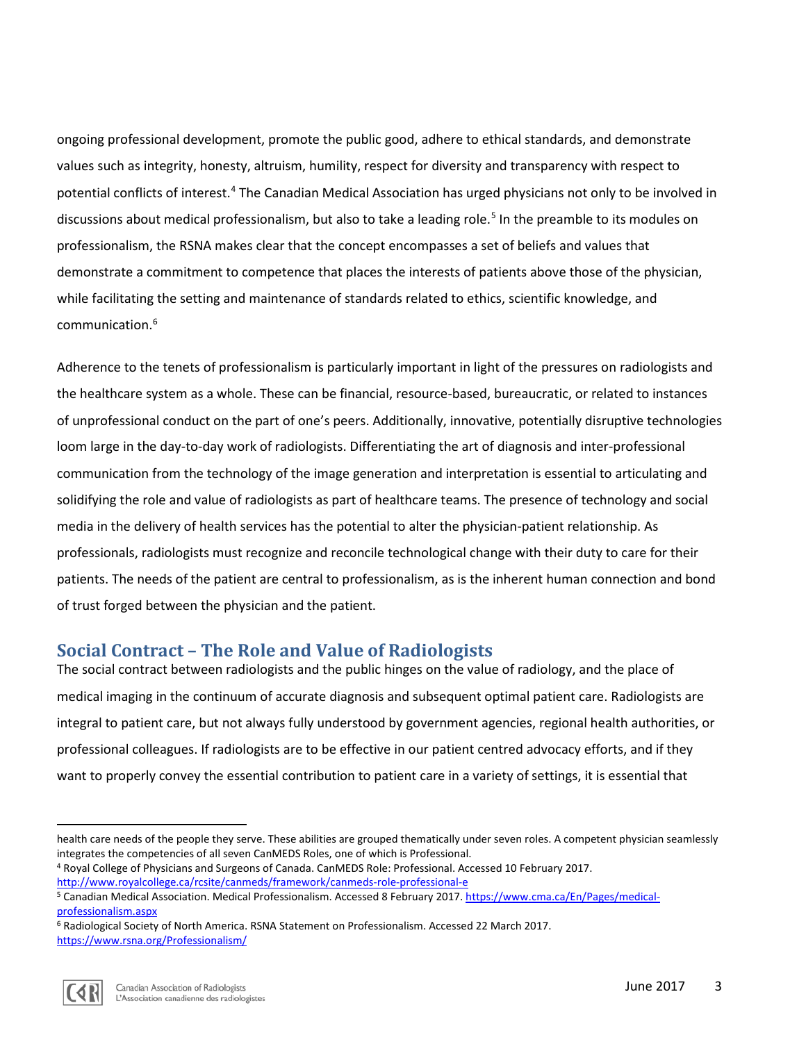ongoing professional development, promote the public good, adhere to ethical standards, and demonstrate values such as integrity, honesty, altruism, humility, respect for diversity and transparency with respect to potential conflicts of interest.<sup>[4](#page-2-0)</sup> The Canadian Medical Association has urged physicians not only to be involved in discussions about medical professionalism, but also to take a leading role.<sup>[5](#page-2-1)</sup> In the preamble to its modules on professionalism, the RSNA makes clear that the concept encompasses a set of beliefs and values that demonstrate a commitment to competence that places the interests of patients above those of the physician, while facilitating the setting and maintenance of standards related to ethics, scientific knowledge, and communication.[6](#page-2-2)

Adherence to the tenets of professionalism is particularly important in light of the pressures on radiologists and the healthcare system as a whole. These can be financial, resource-based, bureaucratic, or related to instances of unprofessional conduct on the part of one's peers. Additionally, innovative, potentially disruptive technologies loom large in the day-to-day work of radiologists. Differentiating the art of diagnosis and inter-professional communication from the technology of the image generation and interpretation is essential to articulating and solidifying the role and value of radiologists as part of healthcare teams. The presence of technology and social media in the delivery of health services has the potential to alter the physician-patient relationship. As professionals, radiologists must recognize and reconcile technological change with their duty to care for their patients. The needs of the patient are central to professionalism, as is the inherent human connection and bond of trust forged between the physician and the patient.

### **Social Contract – The Role and Value of Radiologists**

The social contract between radiologists and the public hinges on the value of radiology, and the place of medical imaging in the continuum of accurate diagnosis and subsequent optimal patient care. Radiologists are integral to patient care, but not always fully understood by government agencies, regional health authorities, or professional colleagues. If radiologists are to be effective in our patient centred advocacy efforts, and if they want to properly convey the essential contribution to patient care in a variety of settings, it is essential that

<span id="page-2-2"></span><sup>6</sup> Radiological Society of North America. RSNA Statement on Professionalism. Accessed 22 March 2017. <https://www.rsna.org/Professionalism/>



 $\overline{\phantom{a}}$ 

health care needs of the people they serve. These abilities are grouped thematically under seven roles. A competent physician seamlessly integrates the competencies of all seven CanMEDS Roles, one of which is Professional.

<span id="page-2-0"></span><sup>4</sup> Royal College of Physicians and Surgeons of Canada. CanMEDS Role: Professional. Accessed 10 February 2017. http://www.royalcollege.ca/rcsite/canmeds/framework/canmeds-role-professional-e<br><sup>5</sup> Canadian Medical Association. Medical Professionalism. Accessed 8 February 2017. [https://www.cma.ca/En/Pages/medical-](https://www.cma.ca/En/Pages/medical-professionalism.aspx)

<span id="page-2-1"></span>[professionalism.aspx](https://www.cma.ca/En/Pages/medical-professionalism.aspx)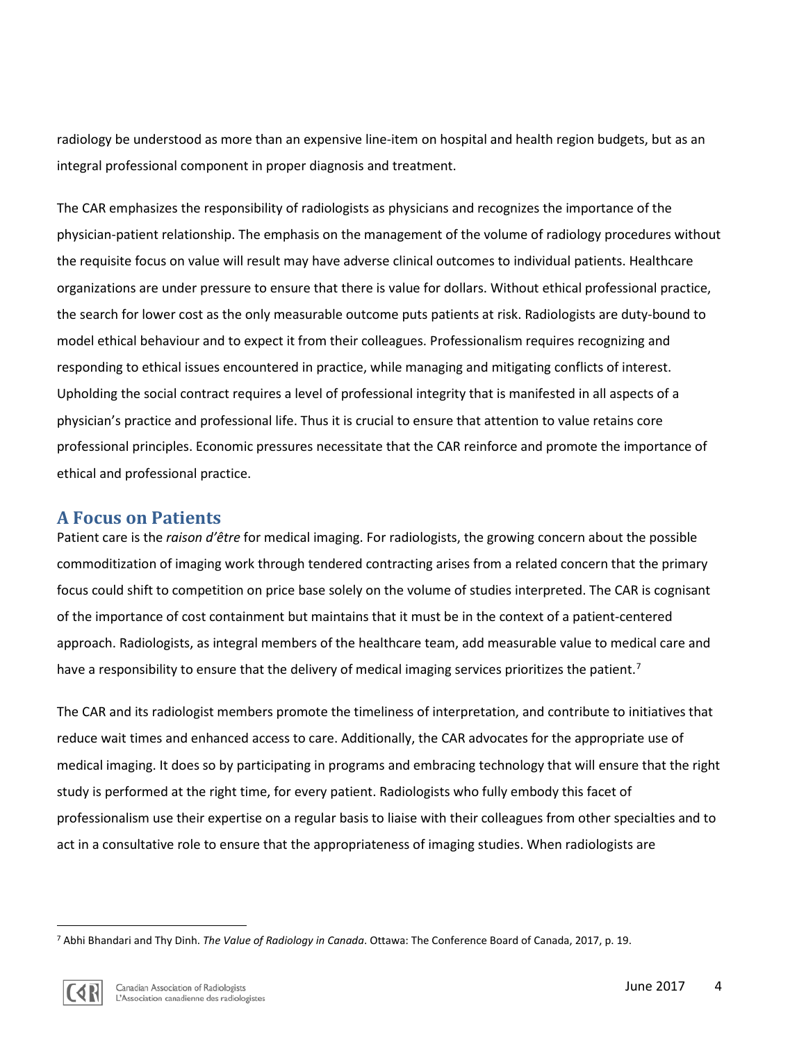radiology be understood as more than an expensive line-item on hospital and health region budgets, but as an integral professional component in proper diagnosis and treatment.

The CAR emphasizes the responsibility of radiologists as physicians and recognizes the importance of the physician-patient relationship. The emphasis on the management of the volume of radiology procedures without the requisite focus on value will result may have adverse clinical outcomes to individual patients. Healthcare organizations are under pressure to ensure that there is value for dollars. Without ethical professional practice, the search for lower cost as the only measurable outcome puts patients at risk. Radiologists are duty-bound to model ethical behaviour and to expect it from their colleagues. Professionalism requires recognizing and responding to ethical issues encountered in practice, while managing and mitigating conflicts of interest. Upholding the social contract requires a level of professional integrity that is manifested in all aspects of a physician's practice and professional life. Thus it is crucial to ensure that attention to value retains core professional principles. Economic pressures necessitate that the CAR reinforce and promote the importance of ethical and professional practice.

#### **A Focus on Patients**

Patient care is the *raison d'être* for medical imaging. For radiologists, the growing concern about the possible commoditization of imaging work through tendered contracting arises from a related concern that the primary focus could shift to competition on price base solely on the volume of studies interpreted. The CAR is cognisant of the importance of cost containment but maintains that it must be in the context of a patient-centered approach. Radiologists, as integral members of the healthcare team, add measurable value to medical care and have a responsibility to ensure that the delivery of medical imaging services prioritizes the patient.<sup>[7](#page-3-0)</sup>

The CAR and its radiologist members promote the timeliness of interpretation, and contribute to initiatives that reduce wait times and enhanced access to care. Additionally, the CAR advocates for the appropriate use of medical imaging. It does so by participating in programs and embracing technology that will ensure that the right study is performed at the right time, for every patient. Radiologists who fully embody this facet of professionalism use their expertise on a regular basis to liaise with their colleagues from other specialties and to act in a consultative role to ensure that the appropriateness of imaging studies. When radiologists are

<span id="page-3-0"></span> <sup>7</sup> Abhi Bhandari and Thy Dinh. *The Value of Radiology in Canada*. Ottawa: The Conference Board of Canada, 2017, p. 19.

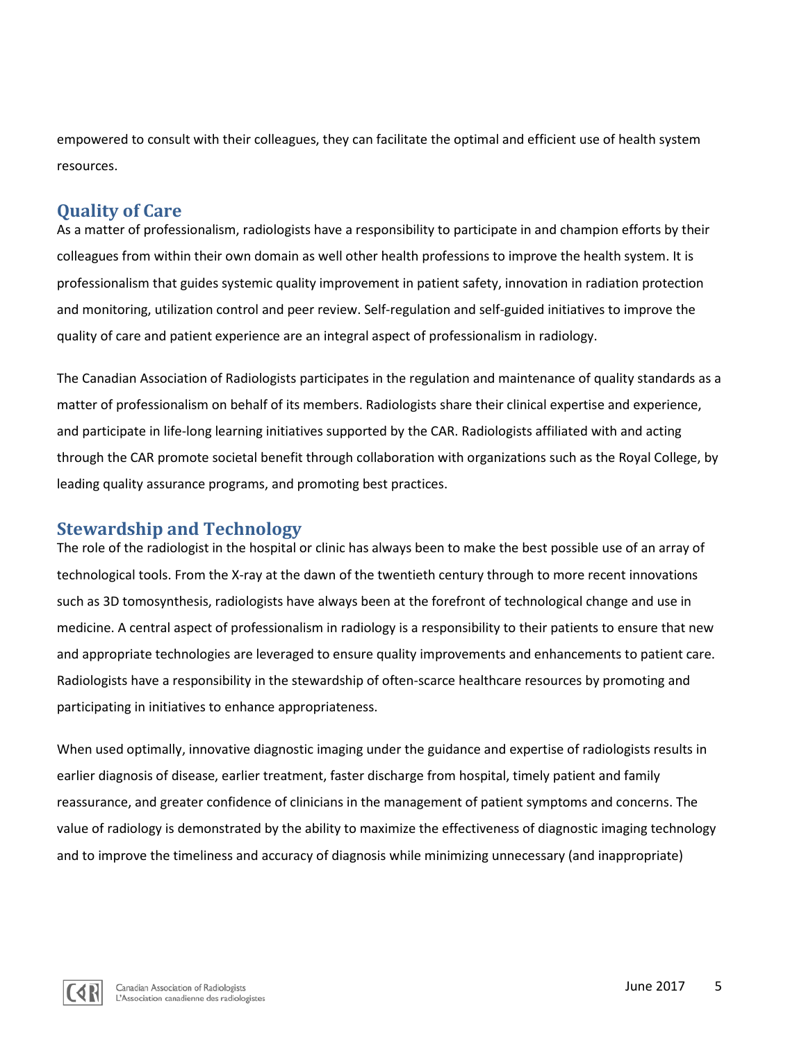empowered to consult with their colleagues, they can facilitate the optimal and efficient use of health system resources.

#### **Quality of Care**

As a matter of professionalism, radiologists have a responsibility to participate in and champion efforts by their colleagues from within their own domain as well other health professions to improve the health system. It is professionalism that guides systemic quality improvement in patient safety, innovation in radiation protection and monitoring, utilization control and peer review. Self-regulation and self-guided initiatives to improve the quality of care and patient experience are an integral aspect of professionalism in radiology.

The Canadian Association of Radiologists participates in the regulation and maintenance of quality standards as a matter of professionalism on behalf of its members. Radiologists share their clinical expertise and experience, and participate in life-long learning initiatives supported by the CAR. Radiologists affiliated with and acting through the CAR promote societal benefit through collaboration with organizations such as the Royal College, by leading quality assurance programs, and promoting best practices.

#### **Stewardship and Technology**

The role of the radiologist in the hospital or clinic has always been to make the best possible use of an array of technological tools. From the X-ray at the dawn of the twentieth century through to more recent innovations such as 3D tomosynthesis, radiologists have always been at the forefront of technological change and use in medicine. A central aspect of professionalism in radiology is a responsibility to their patients to ensure that new and appropriate technologies are leveraged to ensure quality improvements and enhancements to patient care. Radiologists have a responsibility in the stewardship of often-scarce healthcare resources by promoting and participating in initiatives to enhance appropriateness.

When used optimally, innovative diagnostic imaging under the guidance and expertise of radiologists results in earlier diagnosis of disease, earlier treatment, faster discharge from hospital, timely patient and family reassurance, and greater confidence of clinicians in the management of patient symptoms and concerns. The value of radiology is demonstrated by the ability to maximize the effectiveness of diagnostic imaging technology and to improve the timeliness and accuracy of diagnosis while minimizing unnecessary (and inappropriate)